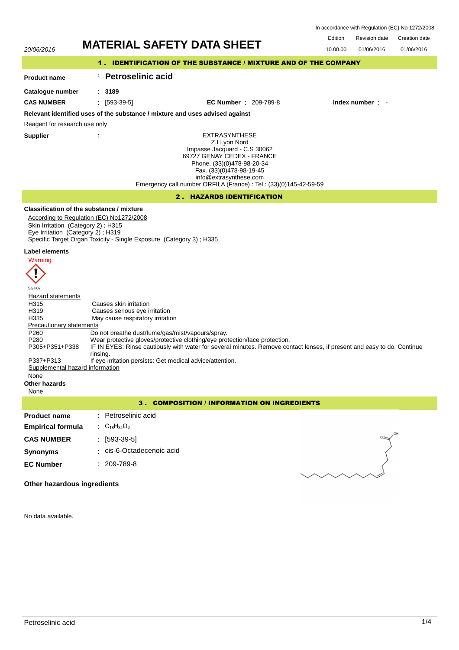|         | In accordance with Regulation (EC) No 1272/2008 |               |
|---------|-------------------------------------------------|---------------|
| Edition | Revision date                                   | Creation date |

01/06/2016

# 20/06/2016 **MATERIAL SAFETY DATA SHEET** 10.00.00 01/06/2016

# 1 . IDENTIFICATION OF THE SUBSTANCE / MIXTURE AND OF THE COMPANY

#### **Product name** : **Petroselinic acid**

: **3189**

**Catalogue number**

**CAS NUMBER** : [593-39-5] **EC Number** : 209-789-8 **Index number** : -

# **Relevant identified uses of the substance / mixture and uses advised against**

Reagent for research use only

**Supplier** :

EXTRASYNTHESE Z.I Lyon Nord Impasse Jacquard - C.S 30062 69727 GENAY CEDEX - FRANCE Phone. (33)(0)478-98-20-34 Fax. (33)(0)478-98-19-45 info@extrasynthese.com Emergency call number ORFILA (France) : Tel : (33)(0)145-42-59-59

# 2 . HAZARDS IDENTIFICATION

# **Classification of the substance / mixture**

According to Regulation (EC) No1272/2008 Skin Irritation (Category 2) ; H315 Eye Irritation (Category 2) ; H319 Specific Target Organ Toxicity - Single Exposure (Category 3) ; H335

### **Label elements**



SGH07 **Hazard statements** H315 Causes skin irritation<br>
H319 Causes serious eve in H319 Causes serious eye irritation<br>H335 May cause respiratory irritation May cause respiratory irritation Precautionary statements P260 Do not breathe dust/fume/gas/mist/vapours/spray.<br>P280 Wear protective gloves/protective clothing/eye pro Wear protective gloves/protective clothing/eye protection/face protection. IF IN EYES: Rinse cautiously with water for several minutes. Remove contact lenses, if present and easy to do. Continue rinsing. P305+P351+P338 P337+P313 If eye irritation persists: Get medical advice/attention.<br>Supplemental hazard information Supplemental hazard None **Other hazards** None

3 . COMPOSITION / INFORMATION ON INGREDIENTS

#### **Product name Empirical formula** : Petroselinic acid : C18H34O<sup>2</sup> **CAS NUMBER** : [593-39-5] **Synonyms** : cis-6-Octadecenoic acid **EC Number** : 209-789-8



**Other hazardous ingredients**

No data available.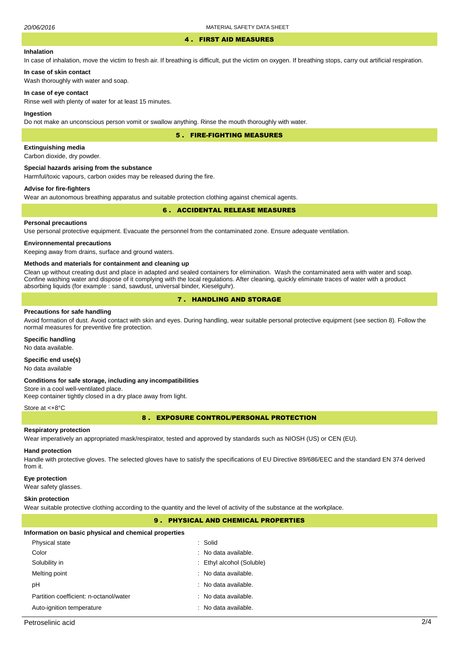#### 4 . FIRST AID MEASURES

#### **Inhalation**

In case of inhalation, move the victim to fresh air. If breathing is difficult, put the victim on oxygen. If breathing stops, carry out artificial respiration.

# **In case of skin contact**

Wash thoroughly with water and soap.

#### **In case of eye contact**

Rinse well with plenty of water for at least 15 minutes.

#### **Ingestion**

Do not make an unconscious person vomit or swallow anything. Rinse the mouth thoroughly with water.

5 . FIRE-FIGHTING MEASURES

### **Extinguishing media**

Carbon dioxide, dry powder.

#### **Special hazards arising from the substance**

Harmful/toxic vapours, carbon oxides may be released during the fire.

### **Advise for fire-fighters**

Wear an autonomous breathing apparatus and suitable protection clothing against chemical agents.

#### 6 . ACCIDENTAL RELEASE MEASURES

#### **Personal precautions**

Use personal protective equipment. Evacuate the personnel from the contaminated zone. Ensure adequate ventilation.

#### **Environnemental precautions**

Keeping away from drains, surface and ground waters.

#### **Methods and materials for containment and cleaning up**

Clean up without creating dust and place in adapted and sealed containers for elimination. Wash the contaminated aera with water and soap. Confine washing water and dispose of it complying with the local regulations. After cleaning, quickly eliminate traces of water with a product absorbing liquids (for example : sand, sawdust, universal binder, Kieselguhr).

# 7 . HANDLING AND STORAGE

#### **Precautions for safe handling**

Avoid formation of dust. Avoid contact with skin and eyes. During handling, wear suitable personal protective equipment (see section 8). Follow the normal measures for preventive fire protection.

# **Specific handling**

No data available.

# **Specific end use(s)**

No data available

#### **Conditions for safe storage, including any incompatibilities**

Store in a cool well-ventilated place. Keep container tightly closed in a dry place away from light.

#### Store at <+8°C

8 . EXPOSURE CONTROL/PERSONAL PROTECTION

#### **Respiratory protection**

Wear imperatively an appropriated mask/respirator, tested and approved by standards such as NIOSH (US) or CEN (EU).

#### **Hand protection**

Handle with protective gloves. The selected gloves have to satisfy the specifications of EU Directive 89/686/EEC and the standard EN 374 derived from it.

#### **Eye protection**

Wear safety glasses.

#### **Skin protection**

Wear suitable protective clothing according to the quantity and the level of activity of the substance at the workplace.

# 9 . PHYSICAL AND CHEMICAL PROPERTIES

#### **Information on basic physical and chemical properties**

| Physical state                         | : Solid                   |
|----------------------------------------|---------------------------|
| Color                                  | $:$ No data available.    |
| Solubility in                          | : Ethyl alcohol (Soluble) |
| Melting point                          | : No data available.      |
| рH                                     | : No data available.      |
| Partition coefficient: n-octanol/water | : No data available.      |
| Auto-ignition temperature              | : No data available.      |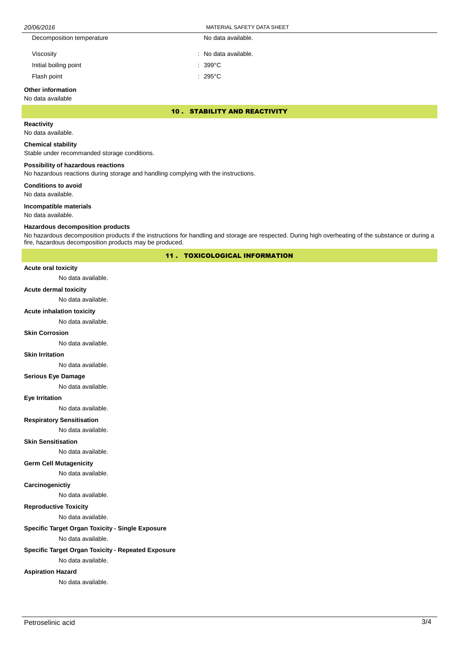| 20/06/2016                | MATERIAL SAFETY DATA SHEET |  |
|---------------------------|----------------------------|--|
| Decomposition temperature | No data available.         |  |
| Viscosity                 | : No data available.       |  |
| Initial boiling point     | $: 399^{\circ}$ C          |  |
| Flash point               | $: 295^{\circ}$ C          |  |

# **Other information**

No data available

#### 10 . STABILITY AND REACTIVITY

# **Reactivity**

No data available.

#### **Chemical stability**

Stable under recommanded storage conditions.

#### **Possibility of hazardous reactions**

No hazardous reactions during storage and handling complying with the instructions.

**Conditions to avoid**

No data available.

#### **Incompatible materials**

No data available.

#### **Hazardous decomposition products**

No hazardous decomposition products if the instructions for handling and storage are respected. During high overheating of the substance or during a fire, hazardous decomposition products may be produced.

11 . TOXICOLOGICAL INFORMATION

# **Acute oral toxicity**

No data available.

#### **Acute dermal toxicity**

No data available.

#### **Acute inhalation toxicity**

No data available.

#### **Skin Corrosion**

No data available.

#### **Skin Irritation**

No data available.

# **Serious Eye Damage**

No data available.

#### **Eye Irritation**

No data available.

# **Respiratory Sensitisation**

No data available.

# **Skin Sensitisation**

No data available.

### **Germ Cell Mutagenicity**

No data available.

#### **Carcinogenictiy**

No data available.

# **Reproductive Toxicity**

No data available.

# **Specific Target Organ Toxicity - Single Exposure**

No data available.

# **Specific Target Organ Toxicity - Repeated Exposure**

No data available.

# **Aspiration Hazard**

No data available.